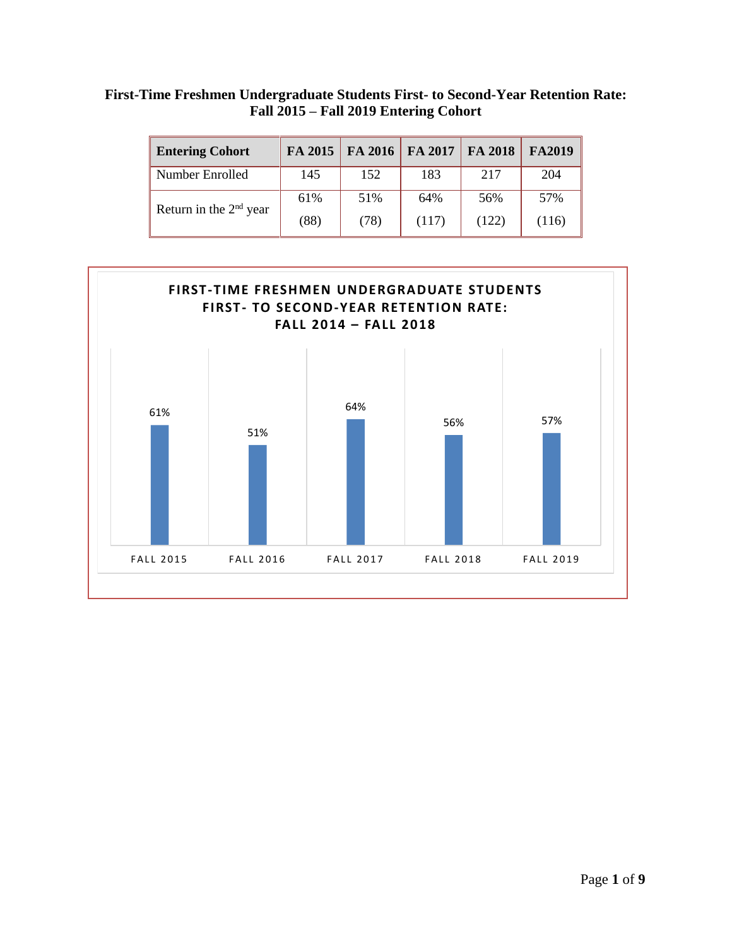## **First-Time Freshmen Undergraduate Students First- to Second-Year Retention Rate: Fall 2015 – Fall 2019 Entering Cohort**

| <b>Entering Cohort</b>   | FA 2015 | FA 2016 | FA 2017 | FA 2018 | FA2019 |
|--------------------------|---------|---------|---------|---------|--------|
| Number Enrolled          | 145     | 152     | 183     | 217     | 204    |
| Return in the $2nd$ year | 61%     | 51%     | 64%     | 56%     | 57%    |
|                          | (88)    | (78)    | (117)   | (122)   | (116)  |

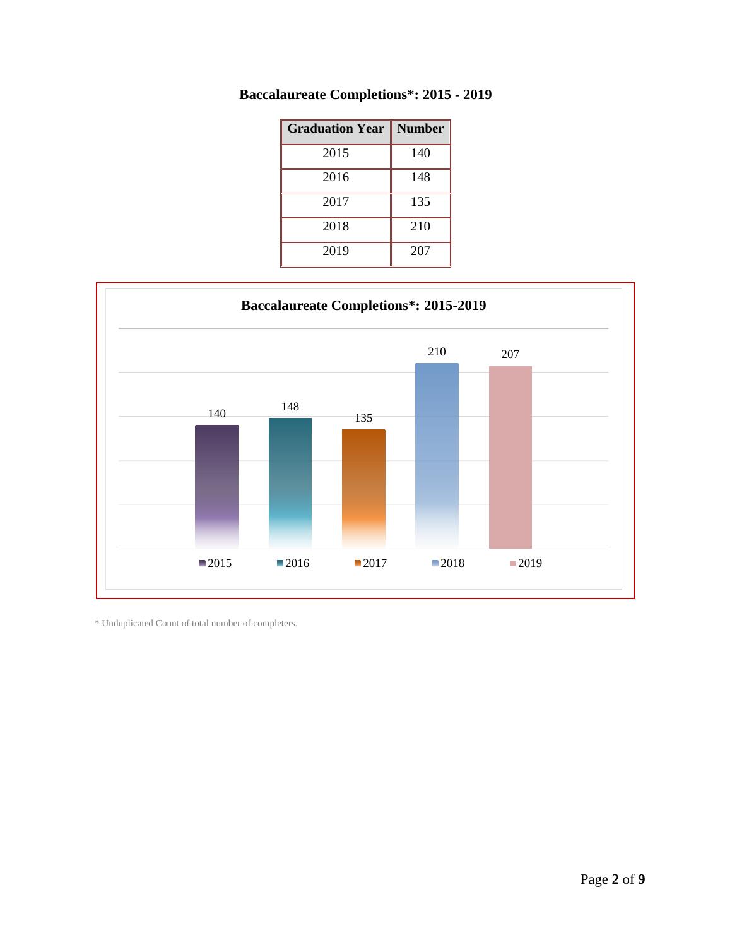| <b>Graduation Year</b> | <b>Number</b> |
|------------------------|---------------|
| 2015                   | 140           |
| 2016                   | 148           |
| 2017                   | 135           |
| 2018                   | 210           |
| 2019                   | 207           |

## **Baccalaureate Completions\*: 2015 - 2019**



 $^\ast$  Unduplicated Count of total number of completers.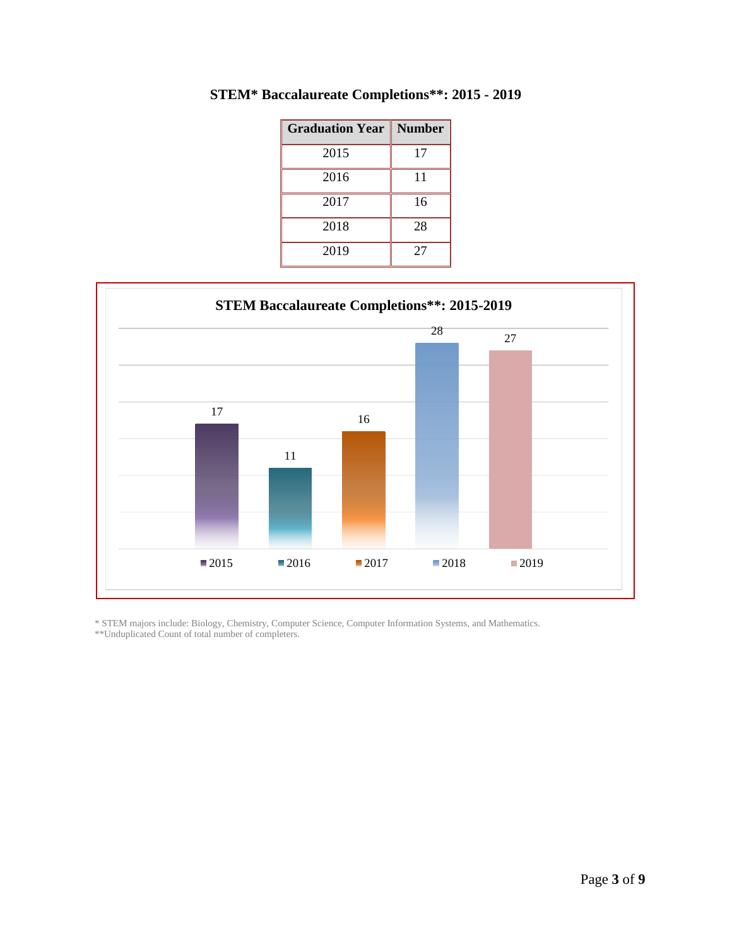| <b>Graduation Year</b> | <b>Number</b> |
|------------------------|---------------|
| 2015                   | 17            |
| 2016                   | 11            |
| 2017                   | 16            |
| 2018                   | 28            |
| 2019                   | 27            |

**STEM\* Baccalaureate Completions\*\*: 2015 - 2019**



\* STEM majors include: Biology, Chemistry, Computer Science, Computer Information Systems, and Mathematics.

\*\*Unduplicated Count of total number of completers.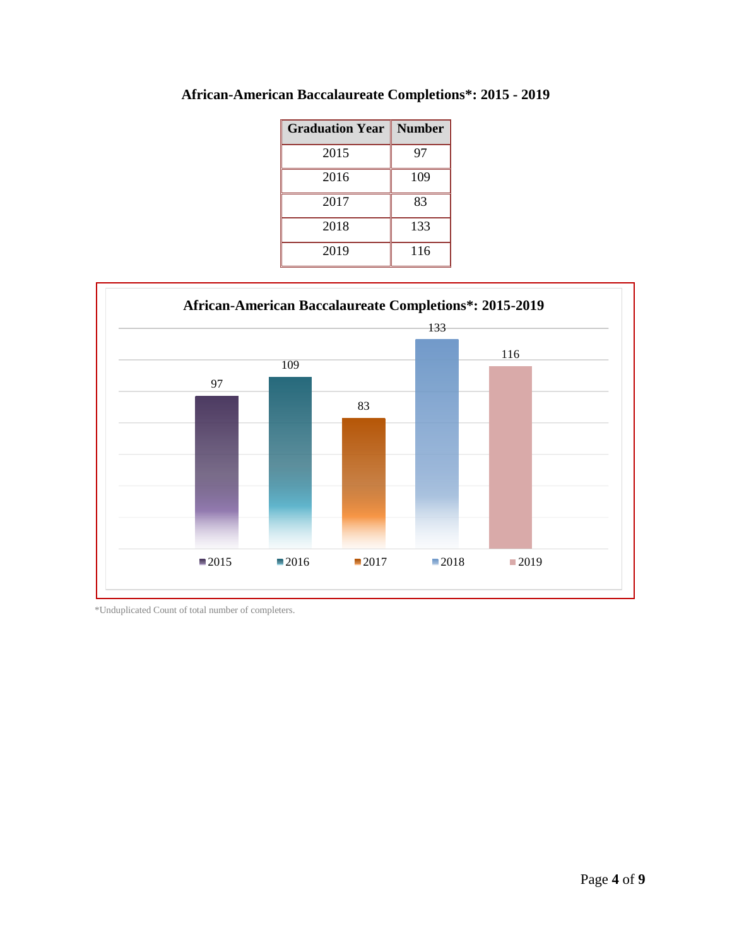| <b>Graduation Year   Number</b> |     |
|---------------------------------|-----|
| 2015                            | 97  |
| 2016                            | 109 |
| 2017                            | 83  |
| 2018                            | 133 |
| 2019                            | 116 |





\*Unduplicated Count of total number of completers.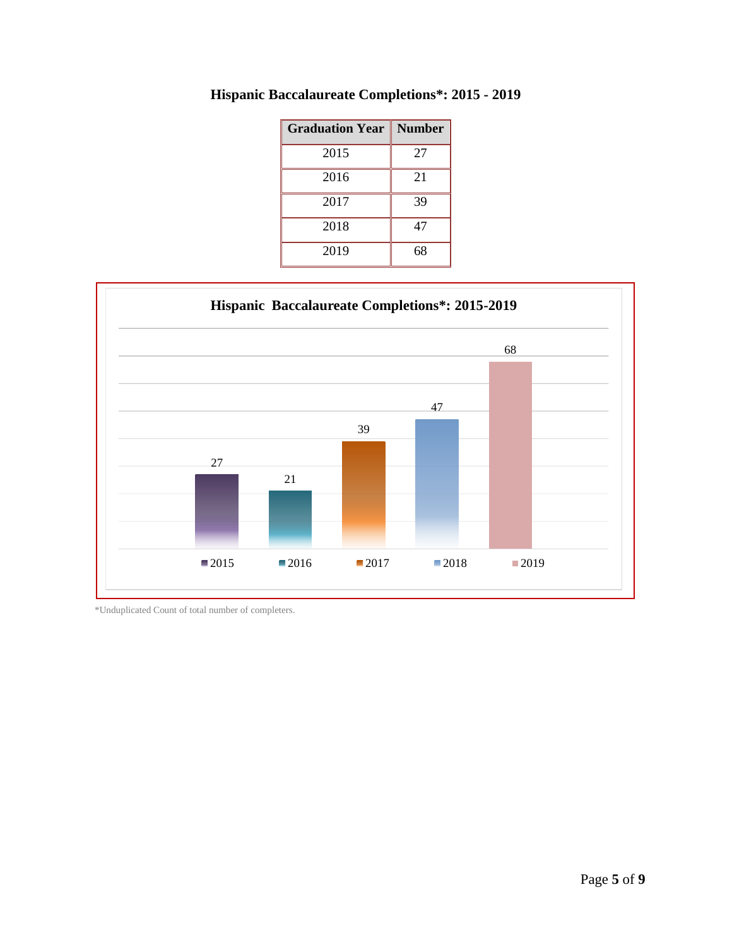| <b>Graduation Year</b> | <b>Number</b> |
|------------------------|---------------|
| 2015                   | 27            |
| 2016                   | 21            |
| 2017                   | 39            |
| 2018                   | 47            |
| 2019                   | 68            |

**Hispanic Baccalaureate Completions\*: 2015 - 2019**



\*Unduplicated Count of total number of completers.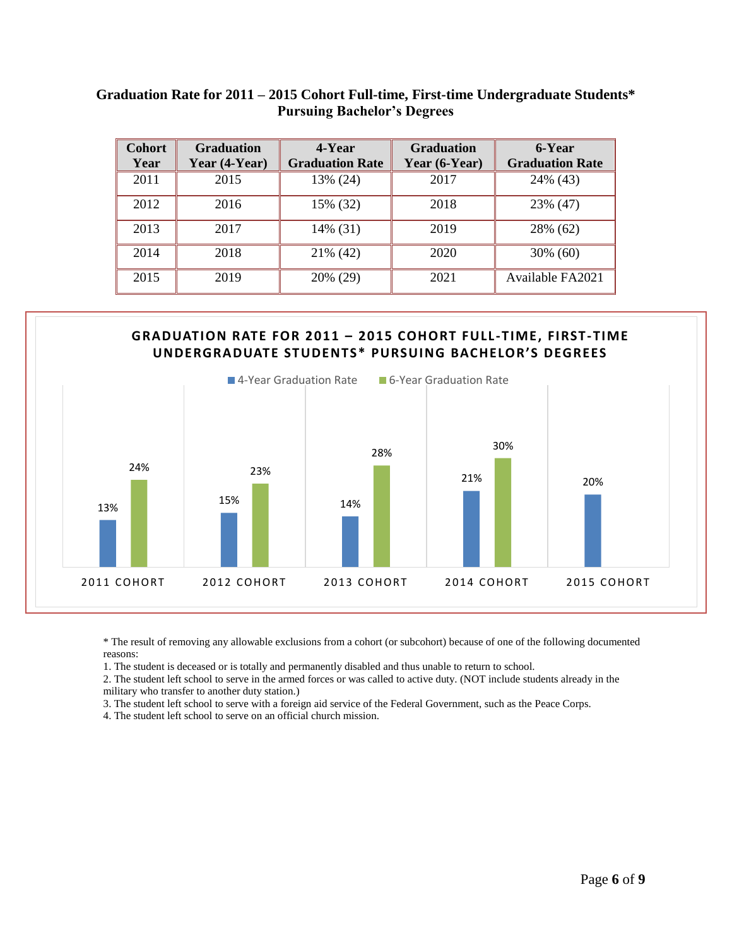| <b>Cohort</b><br>Year | <b>Graduation</b><br>Year (4-Year) | 4-Year<br><b>Graduation Rate</b> | <b>Graduation</b><br>Year (6-Year) | 6-Year<br><b>Graduation Rate</b> |
|-----------------------|------------------------------------|----------------------------------|------------------------------------|----------------------------------|
| 2011                  | 2015                               | 13% (24)                         | 2017                               | 24% (43)                         |
| 2012                  | 2016                               | 15% (32)                         | 2018                               | 23% (47)                         |
| 2013                  | 2017                               | 14% (31)                         | 2019                               | 28% (62)                         |
| 2014                  | 2018                               | 21% (42)                         | 2020                               | $30\%$ (60)                      |
| 2015                  | 2019                               | 20% (29)                         | 2021                               | <b>Available FA2021</b>          |

## **Graduation Rate for 2011 – 2015 Cohort Full-time, First-time Undergraduate Students\* Pursuing Bachelor's Degrees**



\* The result of removing any allowable exclusions from a cohort (or subcohort) because of one of the following documented reasons:

1. The student is deceased or is totally and permanently disabled and thus unable to return to school.

2. The student left school to serve in the armed forces or was called to active duty. (NOT include students already in the military who transfer to another duty station.)

3. The student left school to serve with a foreign aid service of the Federal Government, such as the Peace Corps.

4. The student left school to serve on an official church mission.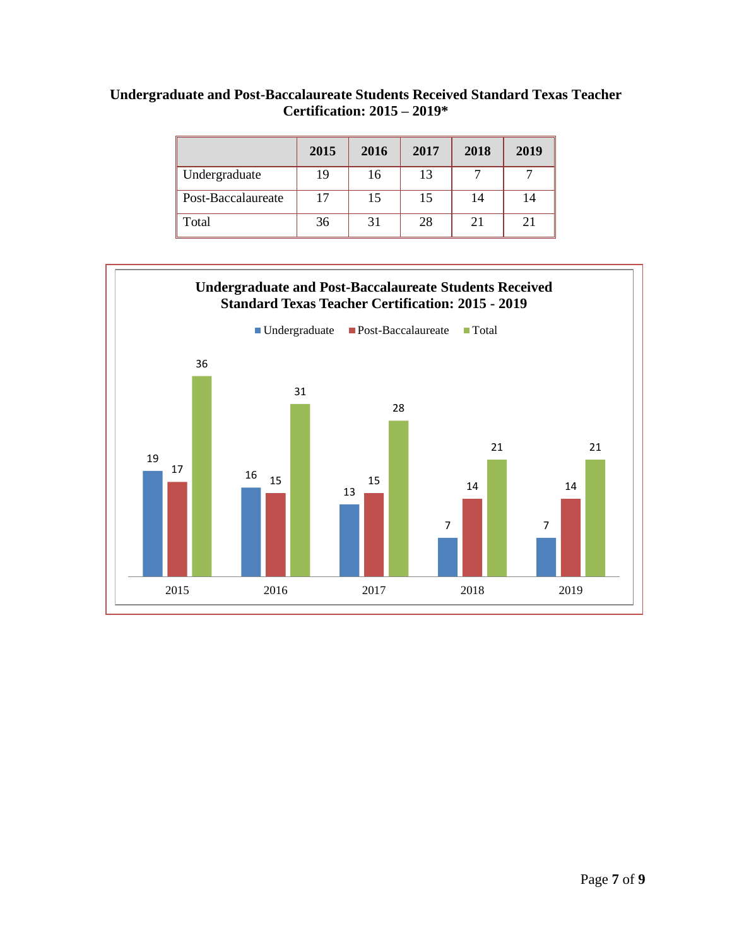| Undergraduate and Post-Baccalaureate Students Received Standard Texas Teacher |  |
|-------------------------------------------------------------------------------|--|
| Certification: $2015 - 2019*$                                                 |  |

|                    | 2015 | 2016 | 2017 | 2018 | 2019 |
|--------------------|------|------|------|------|------|
| Undergraduate      | 19   | 16   | 13   |      |      |
| Post-Baccalaureate | 17   | 15   | 15   | 14   | 14   |
| Total              | 36   | 31   | 28   | 21   | 21   |

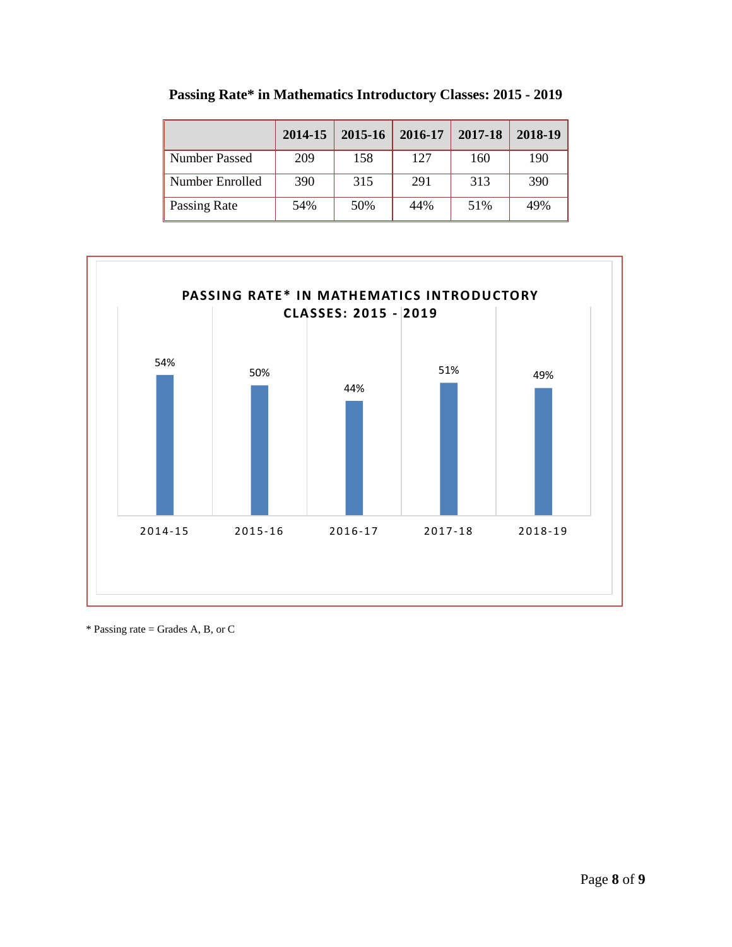|                      | 2014-15 | 2015-16 | 2016-17 | 2017-18 | 2018-19 |
|----------------------|---------|---------|---------|---------|---------|
| <b>Number Passed</b> | 209     | 158     | 127     | 160     | 190     |
| Number Enrolled      | 390     | 315     | 291     | 313     | 390     |
| Passing Rate         | 54%     | 50%     | 44%     | 51%     | 49%     |

**Passing Rate\* in Mathematics Introductory Classes: 2015 - 2019**



\* Passing rate = Grades A, B, or C